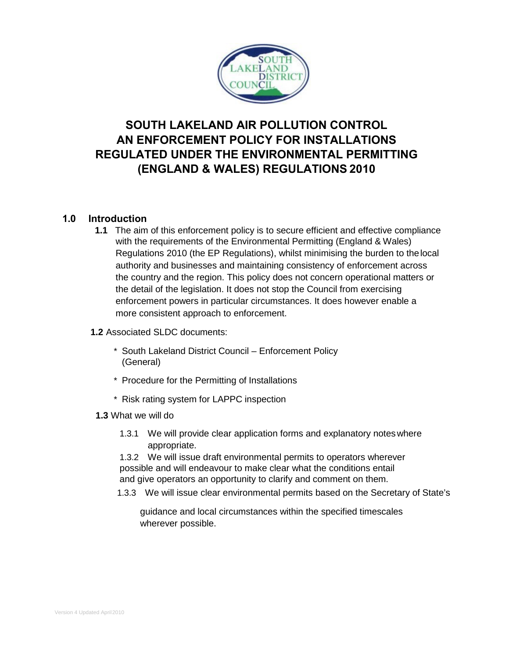

# **SOUTH LAKELAND AIR POLLUTION CONTROL AN ENFORCEMENT POLICY FOR INSTALLATIONS REGULATED UNDER THE ENVIRONMENTAL PERMITTING (ENGLAND & WALES) REGULATIONS 2010**

## **1.0 Introduction**

- **1.1** The aim of this enforcement policy is to secure efficient and effective compliance with the requirements of the Environmental Permitting (England & Wales) Regulations 2010 (the EP Regulations), whilst minimising the burden to thelocal authority and businesses and maintaining consistency of enforcement across the country and the region. This policy does not concern operational matters or the detail of the legislation. It does not stop the Council from exercising enforcement powers in particular circumstances. It does however enable a more consistent approach to enforcement.
- **1.2** Associated SLDC documents:
	- \* South Lakeland District Council Enforcement Policy (General)
	- \* Procedure for the Permitting of Installations
	- \* Risk rating system for LAPPC inspection
	- **1.3** What we will do
		- 1.3.1 We will provide clear application forms and explanatory noteswhere appropriate.

1.3.2 We will issue draft environmental permits to operators wherever possible and will endeavour to make clear what the conditions entail and give operators an opportunity to clarify and comment on them.

1.3.3 We will issue clear environmental permits based on the Secretary of State's

guidance and local circumstances within the specified timescales wherever possible.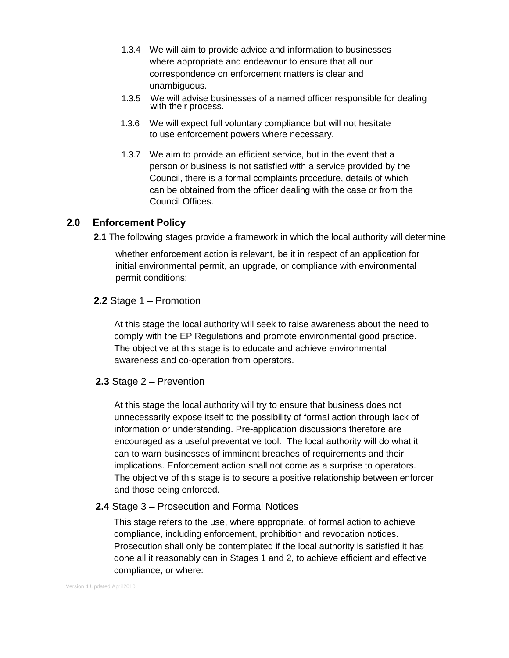- 1.3.4 We will aim to provide advice and information to businesses where appropriate and endeavour to ensure that all our correspondence on enforcement matters is clear and unambiguous.
- 1.3.5 We will advise businesses of a named officer responsible for dealing with their process.
- 1.3.6 We will expect full voluntary compliance but will not hesitate to use enforcement powers where necessary.
- 1.3.7 We aim to provide an efficient service, but in the event that a person or business is not satisfied with a service provided by the Council, there is a formal complaints procedure, details of which can be obtained from the officer dealing with the case or from the Council Offices.

## **2.0 Enforcement Policy**

**2.1** The following stages provide a framework in which the local authority will determine

whether enforcement action is relevant, be it in respect of an application for initial environmental permit, an upgrade, or compliance with environmental permit conditions:

### **2.2** Stage 1 – Promotion

At this stage the local authority will seek to raise awareness about the need to comply with the EP Regulations and promote environmental good practice. The objective at this stage is to educate and achieve environmental awareness and co-operation from operators.

### **2.3** Stage 2 – Prevention

At this stage the local authority will try to ensure that business does not unnecessarily expose itself to the possibility of formal action through lack of information or understanding. Pre-application discussions therefore are encouraged as a useful preventative tool. The local authority will do what it can to warn businesses of imminent breaches of requirements and their implications. Enforcement action shall not come as a surprise to operators. The objective of this stage is to secure a positive relationship between enforcer and those being enforced.

#### **2.4** Stage 3 – Prosecution and Formal Notices

This stage refers to the use, where appropriate, of formal action to achieve compliance, including enforcement, prohibition and revocation notices. Prosecution shall only be contemplated if the local authority is satisfied it has done all it reasonably can in Stages 1 and 2, to achieve efficient and effective compliance, or where: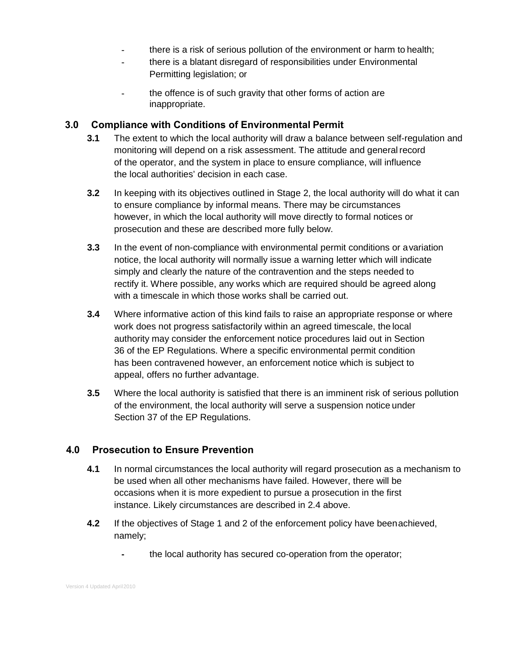- **-** there is a risk of serious pollution of the environment or harm to health;
- **-** there is a blatant disregard of responsibilities under Environmental Permitting legislation; or
- **-** the offence is of such gravity that other forms of action are inappropriate.

## **3.0 Compliance with Conditions of Environmental Permit**

- **3.1** The extent to which the local authority will draw a balance between self-regulation and monitoring will depend on a risk assessment. The attitude and general record of the operator, and the system in place to ensure compliance, will influence the local authorities' decision in each case.
- **3.2** In keeping with its objectives outlined in Stage 2, the local authority will do what it can to ensure compliance by informal means. There may be circumstances however, in which the local authority will move directly to formal notices or prosecution and these are described more fully below.
- **3.3** In the event of non-compliance with environmental permit conditions or avariation notice, the local authority will normally issue a warning letter which will indicate simply and clearly the nature of the contravention and the steps needed to rectify it. Where possible, any works which are required should be agreed along with a timescale in which those works shall be carried out.
- **3.4** Where informative action of this kind fails to raise an appropriate response or where work does not progress satisfactorily within an agreed timescale, the local authority may consider the enforcement notice procedures laid out in Section 36 of the EP Regulations. Where a specific environmental permit condition has been contravened however, an enforcement notice which is subject to appeal, offers no further advantage.
- **3.5** Where the local authority is satisfied that there is an imminent risk of serious pollution of the environment, the local authority will serve a suspension notice under Section 37 of the EP Regulations.

## **4.0 Prosecution to Ensure Prevention**

- **4.1** In normal circumstances the local authority will regard prosecution as a mechanism to be used when all other mechanisms have failed. However, there will be occasions when it is more expedient to pursue a prosecution in the first instance. Likely circumstances are described in 2.4 above.
- **4.2** If the objectives of Stage 1 and 2 of the enforcement policy have beenachieved, namely;
	- **-** the local authority has secured co-operation from the operator;